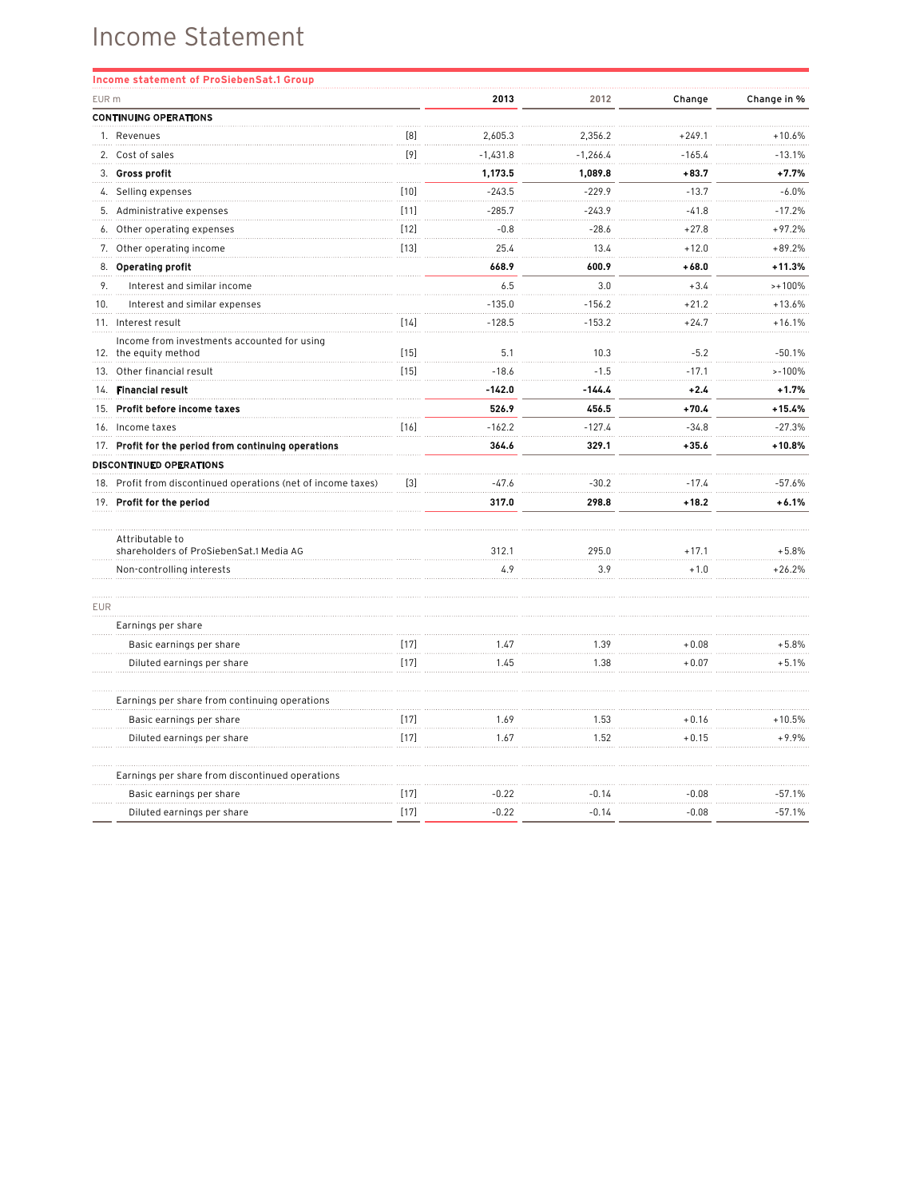## Income Statement

| Income statement of ProSiebenSat.1 Group                             |        |            |            |          |             |
|----------------------------------------------------------------------|--------|------------|------------|----------|-------------|
| EUR <sub>m</sub>                                                     |        | 2013       | 2012       | Change   | Change in % |
| <b>CONTINUING OPERATIONS</b>                                         |        |            |            |          |             |
| 1. Revenues                                                          | [8]    | 2,605.3    | 2,356.2    | $+249.1$ | $+10.6%$    |
| 2. Cost of sales                                                     | [9]    | $-1.431.8$ | $-1,266.4$ | $-165.4$ | $-13.1%$    |
| 3. Gross profit                                                      |        | 1,173.5    | 1,089.8    | $+83.7$  | $+7.7%$     |
| 4. Selling expenses                                                  | $[10]$ | $-243.5$   | $-229.9$   | $-13.7$  | $-6.0\%$    |
| 5. Administrative expenses                                           | $[11]$ | $-285.7$   | $-243.9$   | $-41.8$  | $-17.2%$    |
| Other operating expenses<br>6.                                       | $[12]$ | $-0.8$     | $-28.6$    | $+27.8$  | $+97.2%$    |
| 7. Other operating income                                            | $[13]$ | 25.4       | 13.4       | $+12.0$  | $+89.2%$    |
| 8. Operating profit                                                  |        | 668.9      | 600.9      | $+68.0$  | $+11.3%$    |
| 9.<br>Interest and similar income                                    |        | 6.5        | 3.0        | $+3.4$   | $>+100%$    |
| 10.<br>Interest and similar expenses                                 |        | $-135.0$   | $-156.2$   | $+21.2$  | $+13.6%$    |
| 11. Interest result                                                  | $[14]$ | $-128.5$   | $-153.2$   | $+24.7$  | $+16.1%$    |
| Income from investments accounted for using<br>12. the equity method | $[15]$ | 5.1        | 10.3       | $-5.2$   | $-50.1%$    |
| Other financial result<br>13.                                        | $[15]$ | $-18.6$    | $-1.5$     | $-17.1$  | $> -100%$   |
| <b>Financial result</b><br>14.                                       |        | $-142.0$   | $-144.4$   | $+2.4$   | $+1.7%$     |
| Profit before income taxes<br>15.                                    |        | 526.9      | 456.5      | $+70.4$  | $+15.4%$    |
| 16. Income taxes                                                     | [16]   | $-162.2$   | $-127.4$   | $-34.8$  | $-27.3%$    |
| 17. Profit for the period from continuing operations                 |        | 364.6      | 329.1      | $+35.6$  | $+10.8%$    |
| <b>DISCONTINUED OPERATIONS</b>                                       |        |            |            |          |             |
| 18. Profit from discontinued operations (net of income taxes)        | $[3]$  | $-47.6$    | $-30.2$    | $-17.4$  | $-57.6%$    |
| 19. Profit for the period                                            |        | 317.0      | 298.8      | $+18.2$  | $+6.1%$     |
| Attributable to<br>shareholders of ProSiebenSat.1 Media AG           |        | 312.1      | 295.0      | $+17.1$  | $+5.8%$     |
| Non-controlling interests                                            |        | 4.9        | 3.9        | $+1.0$   | $+26.2%$    |
| <b>EUR</b>                                                           |        |            |            |          |             |
| Earnings per share                                                   |        |            |            |          |             |
| Basic earnings per share                                             | $[17]$ | 1.47       | 1.39       | $+0.08$  | $+5.8%$     |
| Diluted earnings per share                                           | $[17]$ | 1.45       | 1.38       | $+0.07$  | $+5.1%$     |
| Earnings per share from continuing operations                        |        |            |            |          |             |
| Basic earnings per share                                             | $[17]$ | 1.69       | 1.53       | $+0.16$  | $+10.5%$    |
| Diluted earnings per share                                           | $[17]$ | 1.67       | 1.52       | $+0.15$  | $+9.9%$     |
| Earnings per share from discontinued operations                      |        |            |            |          |             |
| Basic earnings per share                                             | $[17]$ | $-0.22$    | $-0.14$    | $-0.08$  | $-57.1%$    |
| Diluted earnings per share                                           | $[17]$ | $-0.22$    | $-0.14$    | $-0.08$  | $-57.1%$    |